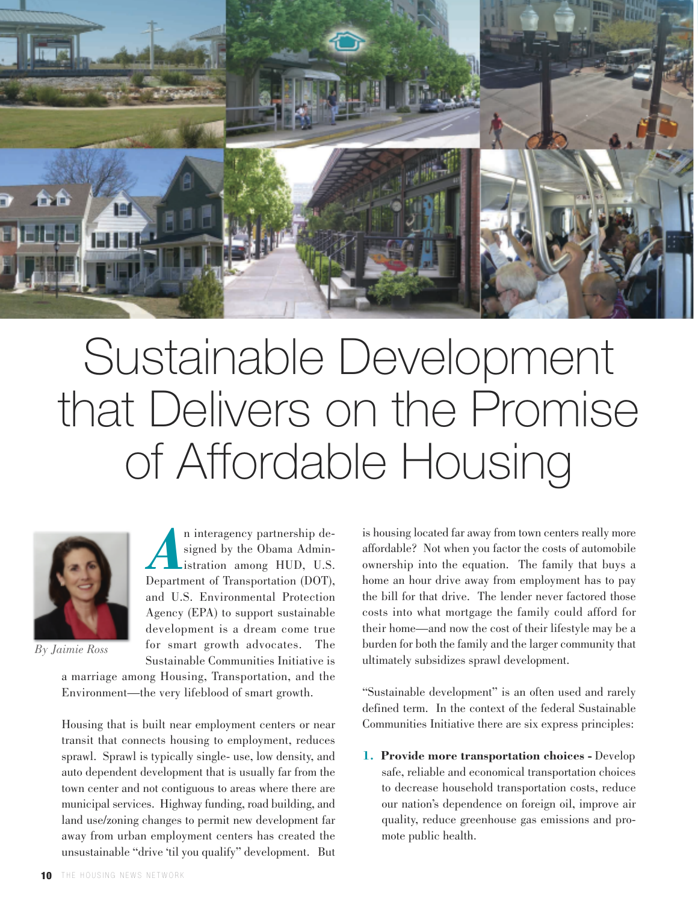

# Sustainable Development that Delivers on the Promise of Affordable Housing



<sup>n</sup> interagency partnership designed by the Obama Admin-<br>istration among HUD, U.S. signed by the Obama Administration among HUD, U.S. Department of Transportation (DOT), and U.S. Environmental Protection Agency (EPA) to support sustainable development is a dream come true for smart growth advocates. The Sustainable Communities Initiative is

*By Jaimie Ross*

a marriage among Housing, Transportation, and the Environment—the very lifeblood of smart growth.

Housing that is built near employment centers or near transit that connects housing to employment, reduces sprawl. Sprawl is typically single- use, low density, and auto dependent development that is usually far from the town center and not contiguous to areas where there are municipal services. Highway funding, road building, and land use/zoning changes to permit new development far away from urban employment centers has created the unsustainable "drive 'til you qualify" development. But

is housing located far away from town centers really more affordable? Not when you factor the costs of automobile ownership into the equation. The family that buys a home an hour drive away from employment has to pay the bill for that drive. The lender never factored those costs into what mortgage the family could afford for their home—and now the cost of their lifestyle may be a burden for both the family and the larger community that ultimately subsidizes sprawl development.

"Sustainable development" is an often used and rarely defined term. In the context of the federal Sustainable Communities Initiative there are six express principles:

**1. Provide more transportation choices -** Develop safe, reliable and economical transportation choices to decrease household transportation costs, reduce our nation's dependence on foreign oil, improve air quality, reduce greenhouse gas emissions and promote public health.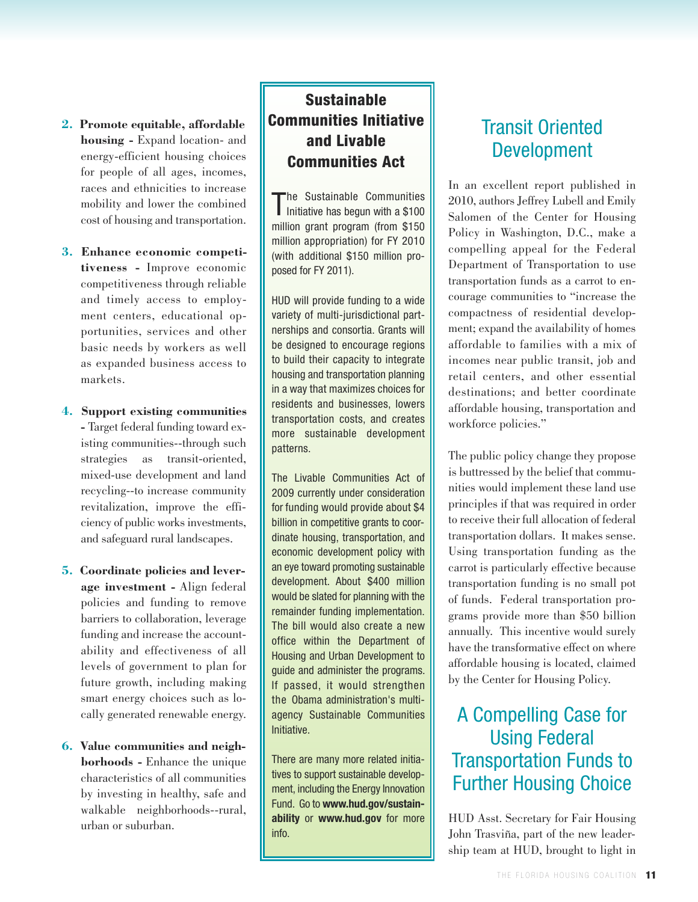- **2. Promote equitable, affordable housing -** Expand location- and energy-efficient housing choices for people of all ages, incomes, races and ethnicities to increase mobility and lower the combined cost of housing and transportation.
- **3. Enhance economic competitiveness -** Improve economic competitiveness through reliable and timely access to employment centers, educational opportunities, services and other basic needs by workers as well as expanded business access to markets.
- **4. Support existing communities -** Target federal funding toward existing communities--through such strategies as transit-oriented, mixed-use development and land recycling--to increase community revitalization, improve the efficiency of public works investments, and safeguard rural landscapes.
- **5. Coordinate policies and leverage investment -** Align federal policies and funding to remove barriers to collaboration, leverage funding and increase the accountability and effectiveness of all levels of government to plan for future growth, including making smart energy choices such as locally generated renewable energy.
- **6. Value communities and neighborhoods -** Enhance the unique characteristics of all communities by investing in healthy, safe and walkable neighborhoods--rural, urban or suburban.

#### **Sustainable Communities Initiative and Livable Communities Act**

The Sustainable Communities<br>Initiative has begun with a \$100 million grant program (from \$150 million appropriation) for FY 2010 (with additional \$150 million proposed for FY 2011).

HUD will provide funding to a wide variety of multi-jurisdictional partnerships and consortia. Grants will be designed to encourage regions to build their capacity to integrate housing and transportation planning in a way that maximizes choices for residents and businesses, lowers transportation costs, and creates more sustainable development patterns.

The Livable Communities Act of 2009 currently under consideration for funding would provide about \$4 billion in competitive grants to coordinate housing, transportation, and economic development policy with an eye toward promoting sustainable development. About \$400 million would be slated for planning with the remainder funding implementation. The bill would also create a new office within the Department of Housing and Urban Development to guide and administer the programs. If passed, it would strengthen the Obama administration's multiagency Sustainable Communities Initiative.

There are many more related initiatives to support sustainable development, including the Energy Innovation Fund. Go to **www.hud.gov/sustainability** or **www.hud.gov** for more info.

## Transit Oriented Development

In an excellent report published in 2010, authors Jeffrey Lubell and Emily Salomen of the Center for Housing Policy in Washington, D.C., make a compelling appeal for the Federal Department of Transportation to use transportation funds as a carrot to encourage communities to "increase the compactness of residential development; expand the availability of homes affordable to families with a mix of incomes near public transit, job and retail centers, and other essential destinations; and better coordinate affordable housing, transportation and workforce policies."

The public policy change they propose is buttressed by the belief that communities would implement these land use principles if that was required in order to receive their full allocation of federal transportation dollars. It makes sense. Using transportation funding as the carrot is particularly effective because transportation funding is no small pot of funds. Federal transportation programs provide more than \$50 billion annually. This incentive would surely have the transformative effect on where affordable housing is located, claimed by the Center for Housing Policy.

### A Compelling Case for Using Federal Transportation Funds to Further Housing Choice

HUD Asst. Secretary for Fair Housing John Trasviña, part of the new leadership team at HUD, brought to light in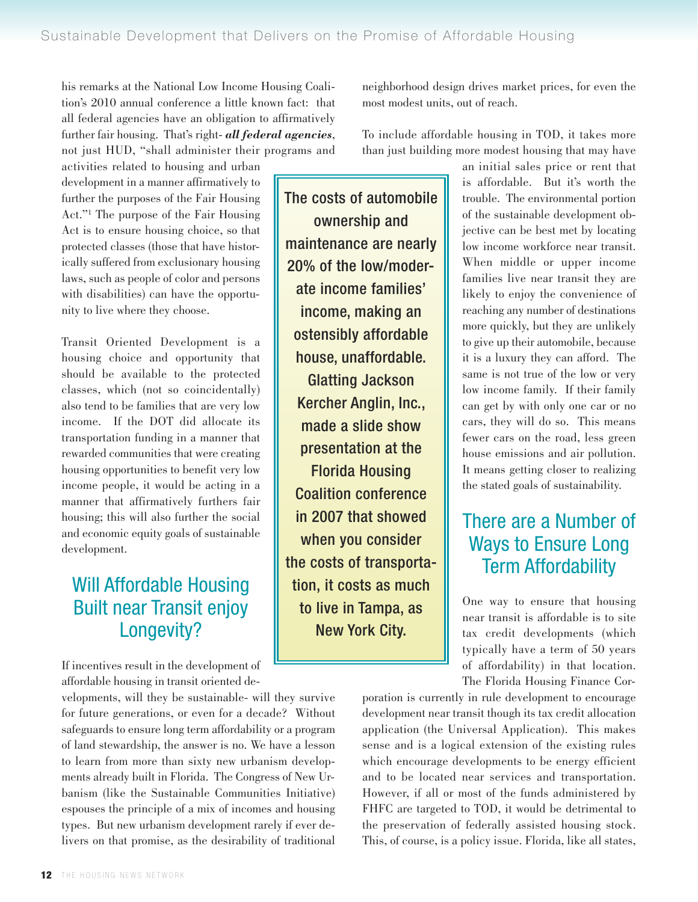his remarks at the National Low Income Housing Coalition's 2010 annual conference a little known fact: that all federal agencies have an obligation to affirmatively further fair housing. That's right- *all federal agencies*, not just HUD, "shall administer their programs and

activities related to housing and urban development in a manner affirmatively to further the purposes of the Fair Housing Act."1 The purpose of the Fair Housing Act is to ensure housing choice, so that protected classes (those that have historically suffered from exclusionary housing laws, such as people of color and persons with disabilities) can have the opportunity to live where they choose.

Transit Oriented Development is a housing choice and opportunity that should be available to the protected classes, which (not so coincidentally) also tend to be families that are very low income. If the DOT did allocate its transportation funding in a manner that rewarded communities that were creating housing opportunities to benefit very low income people, it would be acting in a manner that affirmatively furthers fair housing; this will also further the social and economic equity goals of sustainable development.

## Will Affordable Housing Built near Transit enjoy Longevity?

If incentives result in the development of affordable housing in transit oriented de-

velopments, will they be sustainable- will they survive for future generations, or even for a decade? Without safeguards to ensure long term affordability or a program of land stewardship, the answer is no. We have a lesson to learn from more than sixty new urbanism developments already built in Florida. The Congress of New Urbanism (like the Sustainable Communities Initiative) espouses the principle of a mix of incomes and housing types. But new urbanism development rarely if ever delivers on that promise, as the desirability of traditional

The costs of automobile ownership and maintenance are nearly 20% of the low/moderate income families' income, making an ostensibly affordable house, unaffordable. Glatting Jackson Kercher Anglin, Inc., made a slide show presentation at the Florida Housing Coalition conference in 2007 that showed when you consider the costs of transportation, it costs as much to live in Tampa, as New York City.

neighborhood design drives market prices, for even the most modest units, out of reach.

To include affordable housing in TOD, it takes more than just building more modest housing that may have

> an initial sales price or rent that is affordable. But it's worth the trouble. The environmental portion of the sustainable development objective can be best met by locating low income workforce near transit. When middle or upper income families live near transit they are likely to enjoy the convenience of reaching any number of destinations more quickly, but they are unlikely to give up their automobile, because it is a luxury they can afford. The same is not true of the low or very low income family. If their family can get by with only one car or no cars, they will do so. This means fewer cars on the road, less green house emissions and air pollution. It means getting closer to realizing the stated goals of sustainability.

### There are a Number of Ways to Ensure Long Term Affordability

One way to ensure that housing near transit is affordable is to site tax credit developments (which typically have a term of 50 years of affordability) in that location. The Florida Housing Finance Cor-

poration is currently in rule development to encourage development near transit though its tax credit allocation application (the Universal Application). This makes sense and is a logical extension of the existing rules which encourage developments to be energy efficient and to be located near services and transportation. However, if all or most of the funds administered by FHFC are targeted to TOD, it would be detrimental to the preservation of federally assisted housing stock. This, of course, is a policy issue. Florida, like all states,